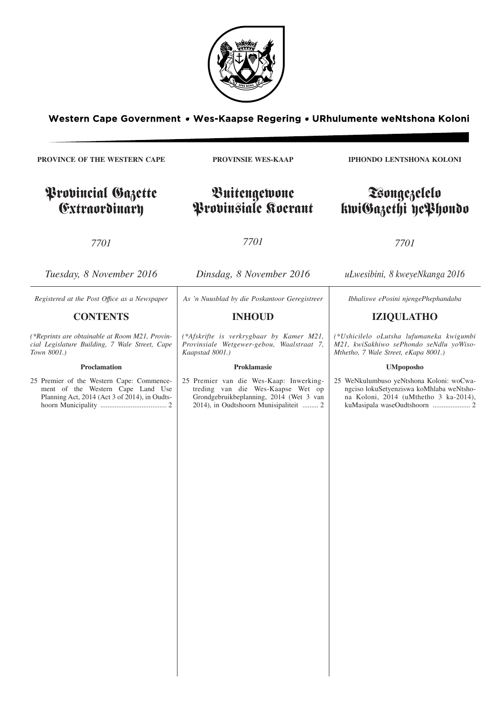

Western Cape Government . Wes-Kaapse Regering . URhulumente weNtshona Koloni

**PROVINCE OF THE WESTERN CAPE**

# Provincial Gazette Extraordinary

**PROVINSIE WES-KAAP**

Buitengewone Provinsiale Koerant

*7701*

*7701*

| Tuesday, 8 November 2016                                                                                                        | Dinsdag, 8 November 2016                                                                                                                                          | uLwesibini, 8 kweyeNkanga 2016                                                                                                                                |
|---------------------------------------------------------------------------------------------------------------------------------|-------------------------------------------------------------------------------------------------------------------------------------------------------------------|---------------------------------------------------------------------------------------------------------------------------------------------------------------|
| Registered at the Post Office as a Newspaper                                                                                    | As 'n Nuusblad by die Poskantoor Geregistreer                                                                                                                     | Ibhaliswe ePosini njengePhephandaba                                                                                                                           |
| <b>CONTENTS</b>                                                                                                                 | <b>INHOUD</b>                                                                                                                                                     | <b>IZIQULATHO</b>                                                                                                                                             |
| (*Reprints are obtainable at Room M21, Provin-<br>cial Legislature Building, 7 Wale Street, Cape<br>Town 8001.)                 | (*Afskrifte is verkrygbaar by Kamer M21,<br>Provinsiale Wetgewer-gebou, Waalstraat 7,<br>Kaapstad 8001.)                                                          | (*Ushicilelo oLutsha lufumaneka kwigumbi<br>M21, kwiSakhiwo sePhondo seNdlu yoWiso-<br>Mthetho, 7 Wale Street, eKapa 8001.)                                   |
| Proclamation                                                                                                                    | Proklamasie                                                                                                                                                       | <b>UMpoposho</b>                                                                                                                                              |
| 25 Premier of the Western Cape: Commence-<br>ment of the Western Cape Land Use<br>Planning Act, 2014 (Act 3 of 2014), in Oudts- | 25 Premier van die Wes-Kaap: Inwerking-<br>treding van die Wes-Kaapse Wet op<br>Grondgebruikbeplanning, 2014 (Wet 3 van<br>2014), in Oudtshoorn Munisipaliteit  2 | 25 WeNkulumbuso yeNtshona Koloni: woCwa-<br>ngciso lokuSetyenziswa koMhlaba weNtsho-<br>na Koloni, 2014 (uMthetho 3 ka-2014),<br>kuMasipala waseOudtshoorn  2 |
|                                                                                                                                 |                                                                                                                                                                   |                                                                                                                                                               |

**IPHONDO LENTSHONA KOLONI**

# Tsongezelelo kwiGazethi yePhondo

*7701*